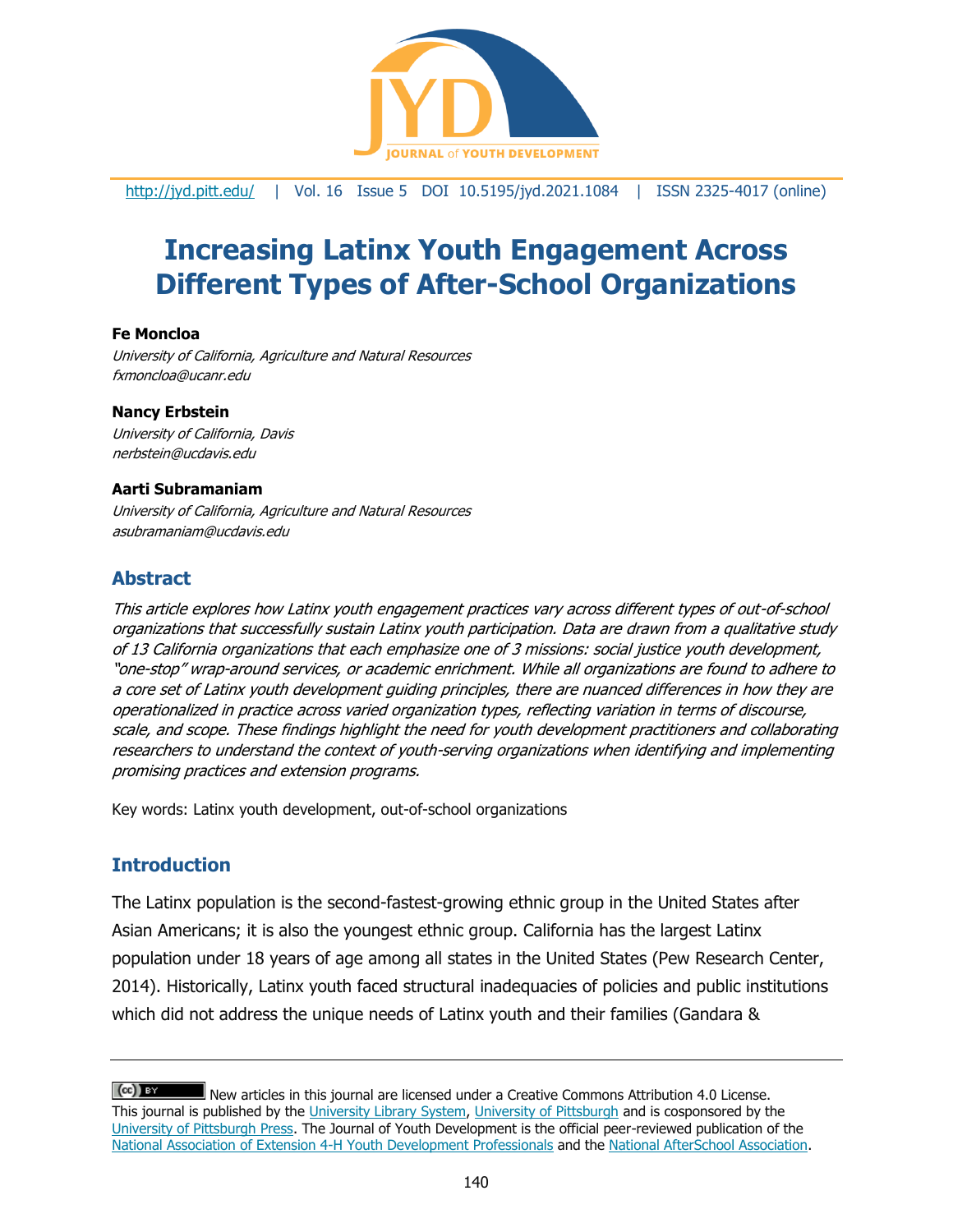

<http://jyd.pitt.edu/> | Vol. 16 Issue 5 DOI 10.5195/jyd.2021.1084 | ISSN 2325-4017 (online)

# **Increasing Latinx Youth Engagement Across Different Types of After-School Organizations**

#### **Fe Moncloa**

University of California, Agriculture and Natural Resources fxmoncloa@ucanr.edu

#### **Nancy Erbstein**

University of California, Davis nerbstein@ucdavis.edu

#### **Aarti Subramaniam**

University of California, Agriculture and Natural Resources asubramaniam@ucdavis.edu

## **Abstract**

This article explores how Latinx youth engagement practices vary across different types of out-of-school organizations that successfully sustain Latinx youth participation. Data are drawn from a qualitative study of 13 California organizations that each emphasize one of 3 missions: social justice youth development, "one-stop" wrap-around services, or academic enrichment. While all organizations are found to adhere to a core set of Latinx youth development guiding principles, there are nuanced differences in how they are operationalized in practice across varied organization types, reflecting variation in terms of discourse, scale, and scope. These findings highlight the need for youth development practitioners and collaborating researchers to understand the context of youth-serving organizations when identifying and implementing promising practices and extension programs.

Key words: Latinx youth development, out-of-school organizations

# **Introduction**

The Latinx population is the second-fastest-growing ethnic group in the United States after Asian Americans; it is also the youngest ethnic group. California has the largest Latinx population under 18 years of age among all states in the United States (Pew Research Center, 2014). Historically, Latinx youth faced structural inadequacies of policies and public institutions which did not address the unique needs of Latinx youth and their families (Gandara &

 $(cc)$  is an New articles in this journal are licensed under a Creative Commons Attribution 4.0 License. This journal is published by the [University Library System,](http://www.library.pitt.edu/) [University of Pittsburgh](http://www.pitt.edu/) and is cosponsored by the [University of Pittsburgh Press.](http://www.upress.pitt.edu/upressIndex.aspx) The Journal of Youth Development is the official peer-reviewed publication of the [National Association of Extension 4-H Youth Development Professionals](http://www.nae4ha.com/) and the [National AfterSchool Association.](http://naaweb.org/)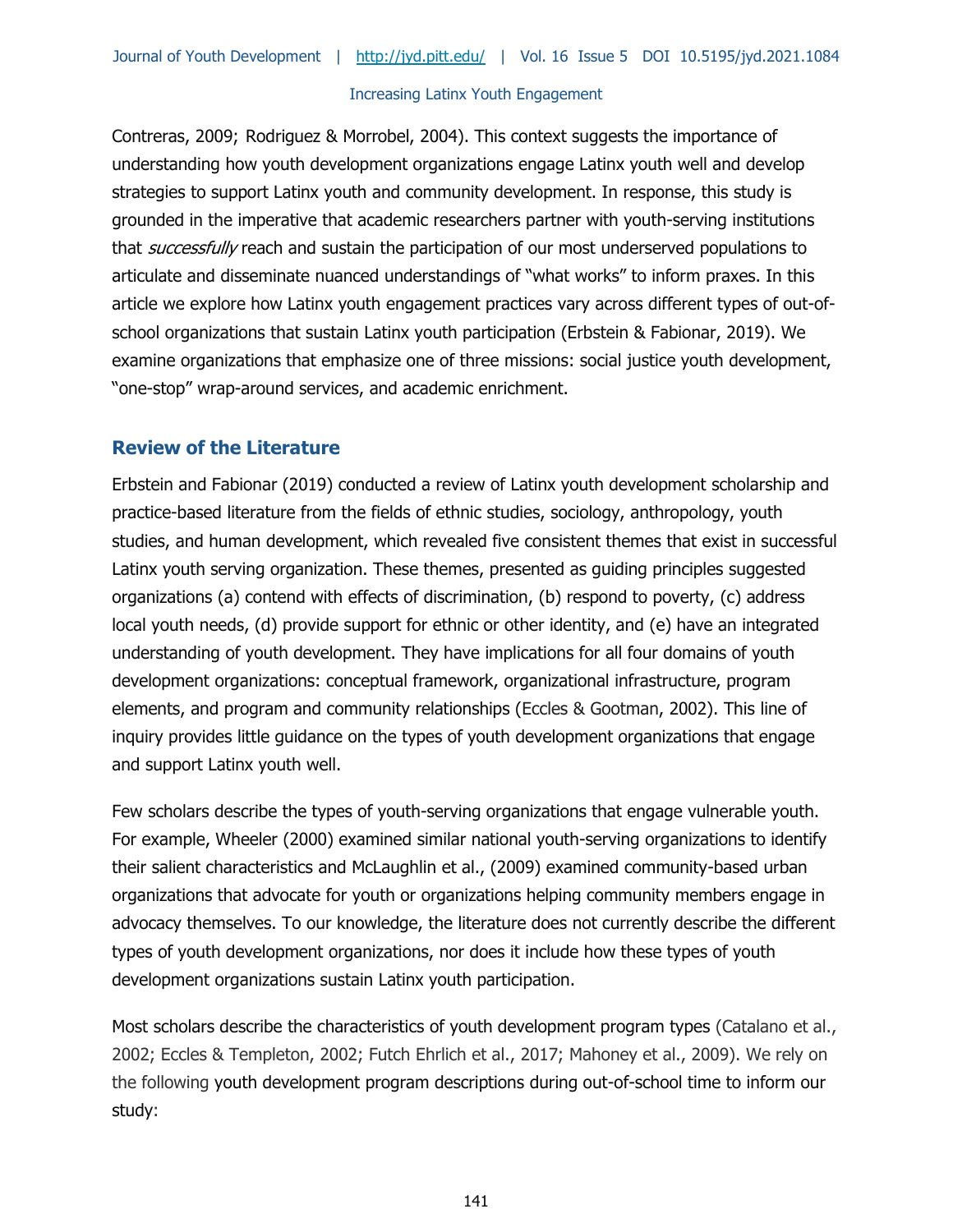Contreras, 2009; Rodriguez & Morrobel, 2004). This context suggests the importance of understanding how youth development organizations engage Latinx youth well and develop strategies to support Latinx youth and community development. In response, this study is grounded in the imperative that academic researchers partner with youth-serving institutions that successfully reach and sustain the participation of our most underserved populations to articulate and disseminate nuanced understandings of "what works" to inform praxes. In this article we explore how Latinx youth engagement practices vary across different types of out-ofschool organizations that sustain Latinx youth participation (Erbstein & Fabionar, 2019). We examine organizations that emphasize one of three missions: social justice youth development, "one-stop" wrap-around services, and academic enrichment.

# **Review of the Literature**

Erbstein and Fabionar (2019) conducted a review of Latinx youth development scholarship and practice-based literature from the fields of ethnic studies, sociology, anthropology, youth studies, and human development, which revealed five consistent themes that exist in successful Latinx youth serving organization. These themes, presented as guiding principles suggested organizations (a) contend with effects of discrimination, (b) respond to poverty, (c) address local youth needs, (d) provide support for ethnic or other identity, and (e) have an integrated understanding of youth development. They have implications for all four domains of youth development organizations: conceptual framework, organizational infrastructure, program elements, and program and community relationships (Eccles & Gootman, 2002). This line of inquiry provides little guidance on the types of youth development organizations that engage and support Latinx youth well.

Few scholars describe the types of youth-serving organizations that engage vulnerable youth. For example, Wheeler (2000) examined similar national youth-serving organizations to identify their salient characteristics and McLaughlin et al., (2009) examined community-based urban organizations that advocate for youth or organizations helping community members engage in advocacy themselves. To our knowledge, the literature does not currently describe the different types of youth development organizations, nor does it include how these types of youth development organizations sustain Latinx youth participation.

Most scholars describe the characteristics of youth development program types (Catalano et al., 2002; Eccles & Templeton, 2002; Futch Ehrlich et al., 2017; Mahoney et al., 2009). We rely on the following youth development program descriptions during out-of-school time to inform our study: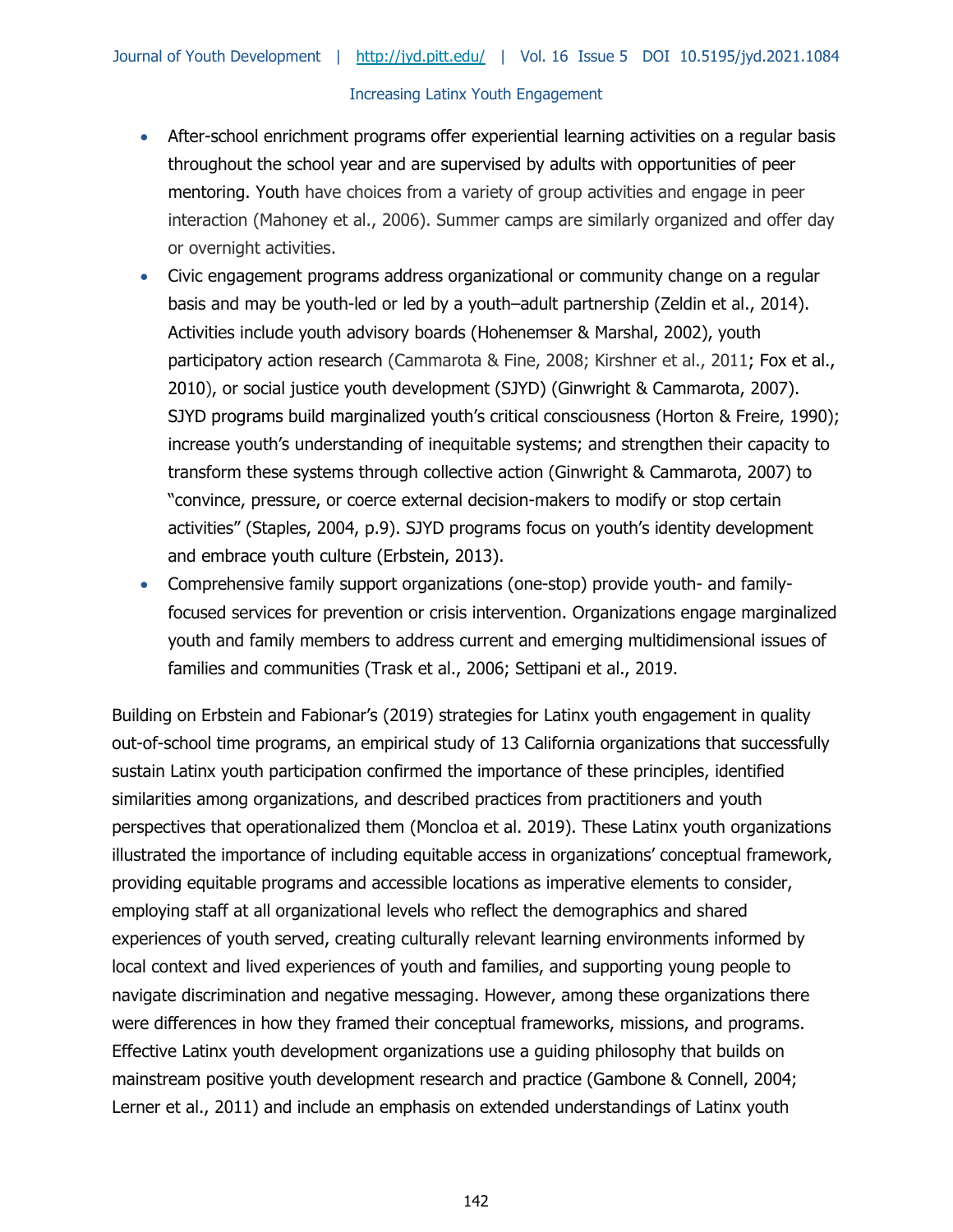- After-school enrichment programs offer experiential learning activities on a regular basis throughout the school year and are supervised by adults with opportunities of peer mentoring. Youth have choices from a variety of group activities and engage in peer interaction (Mahoney et al., 2006). Summer camps are similarly organized and offer day or overnight activities.
- Civic engagement programs address organizational or community change on a regular basis and may be youth-led or led by a youth–adult partnership (Zeldin et al., 2014). Activities include youth advisory boards (Hohenemser & Marshal, 2002), youth participatory action research (Cammarota & Fine, 2008; Kirshner et al., 2011; Fox et al., 2010), or social justice youth development (SJYD) (Ginwright & Cammarota, 2007). SJYD programs build marginalized youth's critical consciousness (Horton & Freire, 1990); increase youth's understanding of inequitable systems; and strengthen their capacity to transform these systems through collective action (Ginwright & Cammarota, 2007) to "convince, pressure, or coerce external decision-makers to modify or stop certain activities" (Staples, 2004, p.9). SJYD programs focus on youth's identity development and embrace youth culture (Erbstein, 2013).
- Comprehensive family support organizations (one-stop) provide youth- and familyfocused services for prevention or crisis intervention. Organizations engage marginalized youth and family members to address current and emerging multidimensional issues of families and communities (Trask et al., 2006; Settipani et al., 2019.

Building on Erbstein and Fabionar's (2019) strategies for Latinx youth engagement in quality out-of-school time programs, an empirical study of 13 California organizations that successfully sustain Latinx youth participation confirmed the importance of these principles, identified similarities among organizations, and described practices from practitioners and youth perspectives that operationalized them (Moncloa et al. 2019). These Latinx youth organizations illustrated the importance of including equitable access in organizations' conceptual framework, providing equitable programs and accessible locations as imperative elements to consider, employing staff at all organizational levels who reflect the demographics and shared experiences of youth served, creating culturally relevant learning environments informed by local context and lived experiences of youth and families, and supporting young people to navigate discrimination and negative messaging. However, among these organizations there were differences in how they framed their conceptual frameworks, missions, and programs. Effective Latinx youth development organizations use a guiding philosophy that builds on mainstream positive youth development research and practice (Gambone & Connell, 2004; Lerner et al., 2011) and include an emphasis on extended understandings of Latinx youth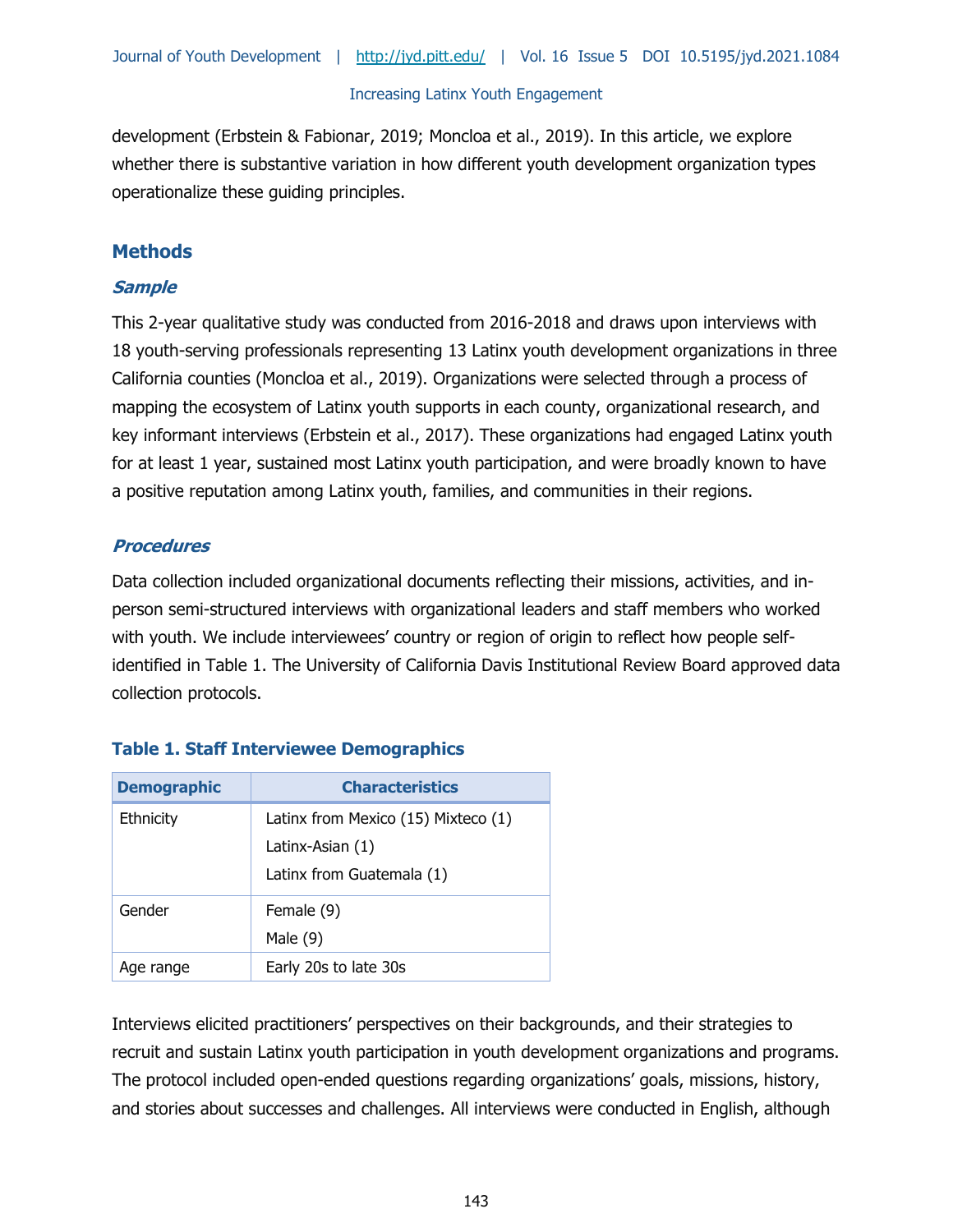development (Erbstein & Fabionar, 2019; Moncloa et al., 2019). In this article, we explore whether there is substantive variation in how different youth development organization types operationalize these guiding principles.

# **Methods**

## **Sample**

This 2-year qualitative study was conducted from 2016-2018 and draws upon interviews with 18 youth-serving professionals representing 13 Latinx youth development organizations in three California counties (Moncloa et al., 2019). Organizations were selected through a process of mapping the ecosystem of Latinx youth supports in each county, organizational research, and key informant interviews (Erbstein et al., 2017). These organizations had engaged Latinx youth for at least 1 year, sustained most Latinx youth participation, and were broadly known to have a positive reputation among Latinx youth, families, and communities in their regions.

## **Procedures**

Data collection included organizational documents reflecting their missions, activities, and inperson semi-structured interviews with organizational leaders and staff members who worked with youth. We include interviewees' country or region of origin to reflect how people selfidentified in Table 1. The University of California Davis Institutional Review Board approved data collection protocols.

| <b>Demographic</b> | <b>Characteristics</b>                                  |
|--------------------|---------------------------------------------------------|
| Ethnicity          | Latinx from Mexico (15) Mixteco (1)<br>Latinx-Asian (1) |
|                    |                                                         |
|                    | Latinx from Guatemala (1)                               |
| Gender             | Female (9)                                              |
|                    | Male $(9)$                                              |
| Age range          | Early 20s to late 30s                                   |

# **Table 1. Staff Interviewee Demographics**

Interviews elicited practitioners' perspectives on their backgrounds, and their strategies to recruit and sustain Latinx youth participation in youth development organizations and programs. The protocol included open-ended questions regarding organizations' goals, missions, history, and stories about successes and challenges. All interviews were conducted in English, although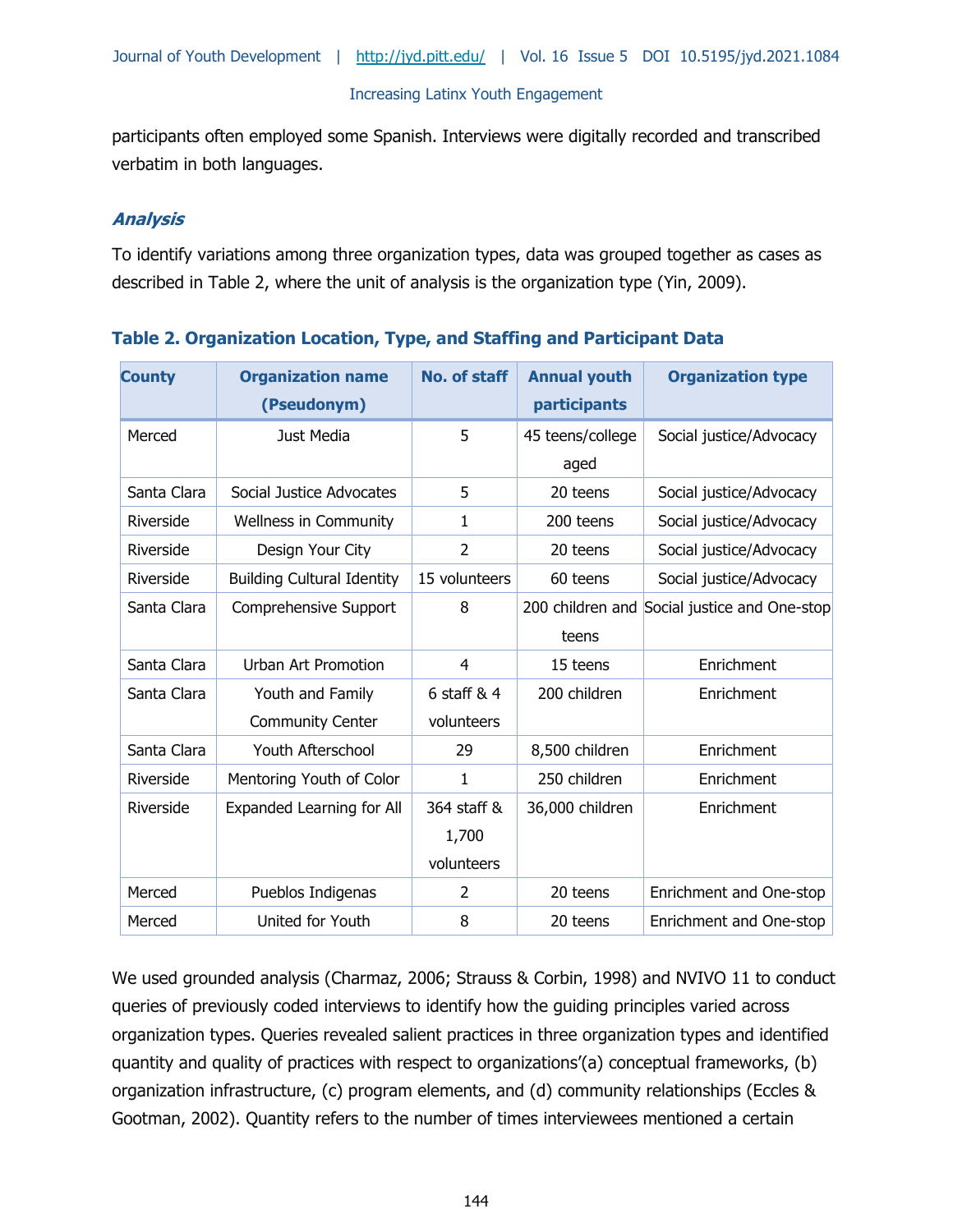participants often employed some Spanish. Interviews were digitally recorded and transcribed verbatim in both languages.

## **Analysis**

To identify variations among three organization types, data was grouped together as cases as described in Table 2, where the unit of analysis is the organization type (Yin, 2009).

| <b>County</b> | <b>Organization name</b><br>(Pseudonym) | <b>No. of staff</b> | <b>Annual youth</b><br>participants | <b>Organization type</b>                     |
|---------------|-----------------------------------------|---------------------|-------------------------------------|----------------------------------------------|
| Merced        | Just Media                              | 5                   | 45 teens/college<br>aged            | Social justice/Advocacy                      |
| Santa Clara   | Social Justice Advocates                | 5                   | 20 teens                            | Social justice/Advocacy                      |
| Riverside     | Wellness in Community                   | $\mathbf{1}$        | 200 teens                           | Social justice/Advocacy                      |
| Riverside     | Design Your City                        | $\overline{2}$      | 20 teens                            | Social justice/Advocacy                      |
| Riverside     | <b>Building Cultural Identity</b>       | 15 volunteers       | 60 teens                            | Social justice/Advocacy                      |
| Santa Clara   | Comprehensive Support                   | 8                   |                                     | 200 children and Social justice and One-stop |
|               |                                         |                     | teens                               |                                              |
| Santa Clara   | <b>Urban Art Promotion</b>              | $\overline{4}$      | 15 teens                            | Enrichment                                   |
| Santa Clara   | Youth and Family                        | 6 staff $& 4$       | 200 children                        | Enrichment                                   |
|               | <b>Community Center</b>                 | volunteers          |                                     |                                              |
| Santa Clara   | Youth Afterschool                       | 29                  | 8,500 children                      | Enrichment                                   |
| Riverside     | Mentoring Youth of Color                | $\mathbf{1}$        | 250 children                        | Enrichment                                   |
| Riverside     | Expanded Learning for All               | 364 staff &         | 36,000 children                     | Enrichment                                   |
|               |                                         | 1,700               |                                     |                                              |
|               |                                         | volunteers          |                                     |                                              |
| Merced        | Pueblos Indigenas                       | 2                   | 20 teens                            | Enrichment and One-stop                      |
| Merced        | United for Youth                        | 8                   | 20 teens                            | Enrichment and One-stop                      |

| Table 2. Organization Location, Type, and Staffing and Participant Data |  |  |  |  |
|-------------------------------------------------------------------------|--|--|--|--|
|-------------------------------------------------------------------------|--|--|--|--|

We used grounded analysis (Charmaz, 2006; Strauss & Corbin, 1998) and NVIVO 11 to conduct queries of previously coded interviews to identify how the guiding principles varied across organization types. Queries revealed salient practices in three organization types and identified quantity and quality of practices with respect to organizations'(a) conceptual frameworks, (b) organization infrastructure, (c) program elements, and (d) community relationships (Eccles & Gootman, 2002). Quantity refers to the number of times interviewees mentioned a certain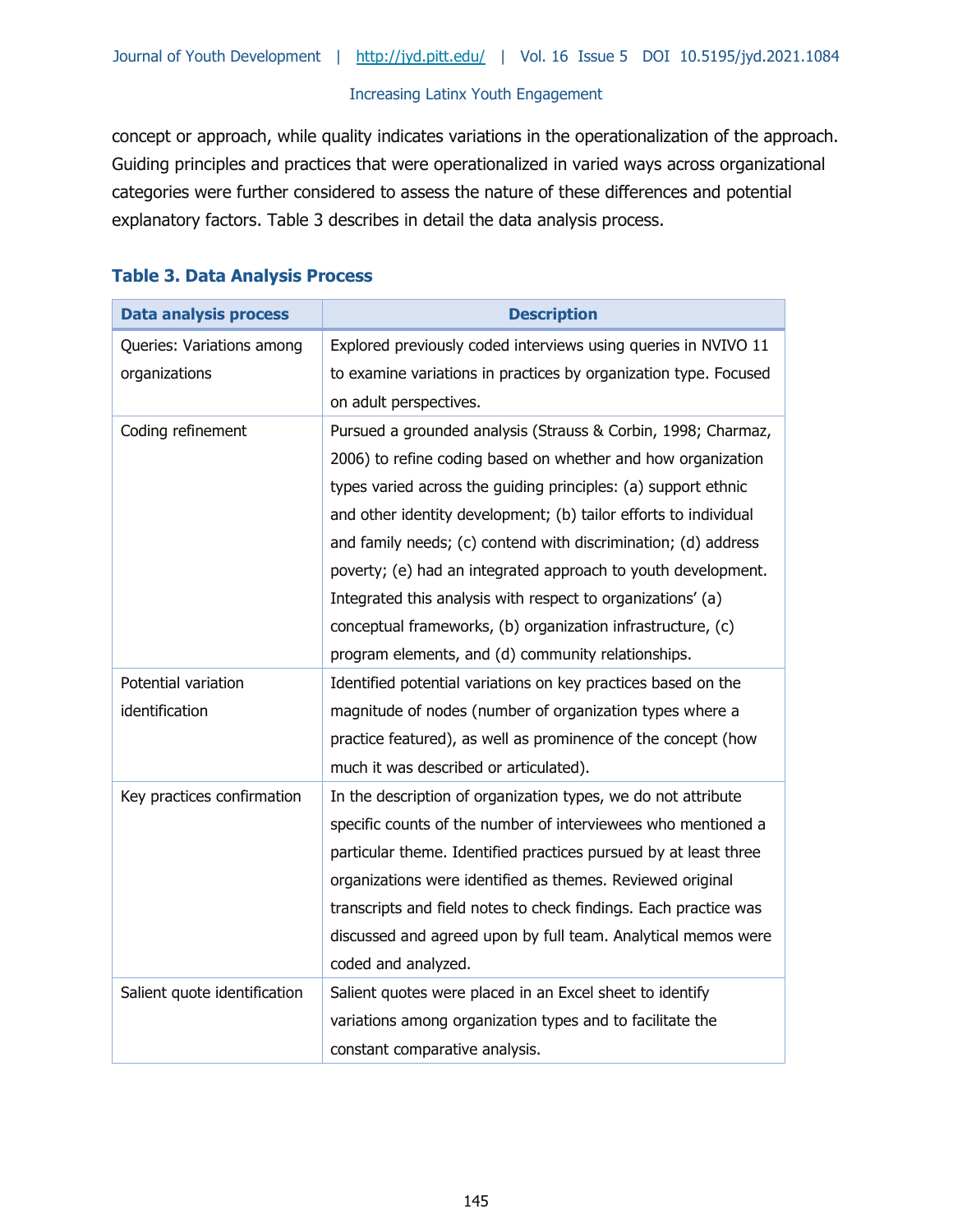concept or approach, while quality indicates variations in the operationalization of the approach. Guiding principles and practices that were operationalized in varied ways across organizational categories were further considered to assess the nature of these differences and potential explanatory factors. Table 3 describes in detail the data analysis process.

| <b>Data analysis process</b> | <b>Description</b>                                               |
|------------------------------|------------------------------------------------------------------|
| Queries: Variations among    | Explored previously coded interviews using queries in NVIVO 11   |
| organizations                | to examine variations in practices by organization type. Focused |
|                              | on adult perspectives.                                           |
| Coding refinement            | Pursued a grounded analysis (Strauss & Corbin, 1998; Charmaz,    |
|                              | 2006) to refine coding based on whether and how organization     |
|                              | types varied across the guiding principles: (a) support ethnic   |
|                              | and other identity development; (b) tailor efforts to individual |
|                              | and family needs; (c) contend with discrimination; (d) address   |
|                              | poverty; (e) had an integrated approach to youth development.    |
|                              | Integrated this analysis with respect to organizations' (a)      |
|                              | conceptual frameworks, (b) organization infrastructure, (c)      |
|                              | program elements, and (d) community relationships.               |
| Potential variation          | Identified potential variations on key practices based on the    |
| identification               | magnitude of nodes (number of organization types where a         |
|                              | practice featured), as well as prominence of the concept (how    |
|                              | much it was described or articulated).                           |
| Key practices confirmation   | In the description of organization types, we do not attribute    |
|                              | specific counts of the number of interviewees who mentioned a    |
|                              | particular theme. Identified practices pursued by at least three |
|                              | organizations were identified as themes. Reviewed original       |
|                              | transcripts and field notes to check findings. Each practice was |
|                              | discussed and agreed upon by full team. Analytical memos were    |
|                              | coded and analyzed.                                              |
| Salient quote identification | Salient quotes were placed in an Excel sheet to identify         |
|                              | variations among organization types and to facilitate the        |
|                              | constant comparative analysis.                                   |

## **Table 3. Data Analysis Process**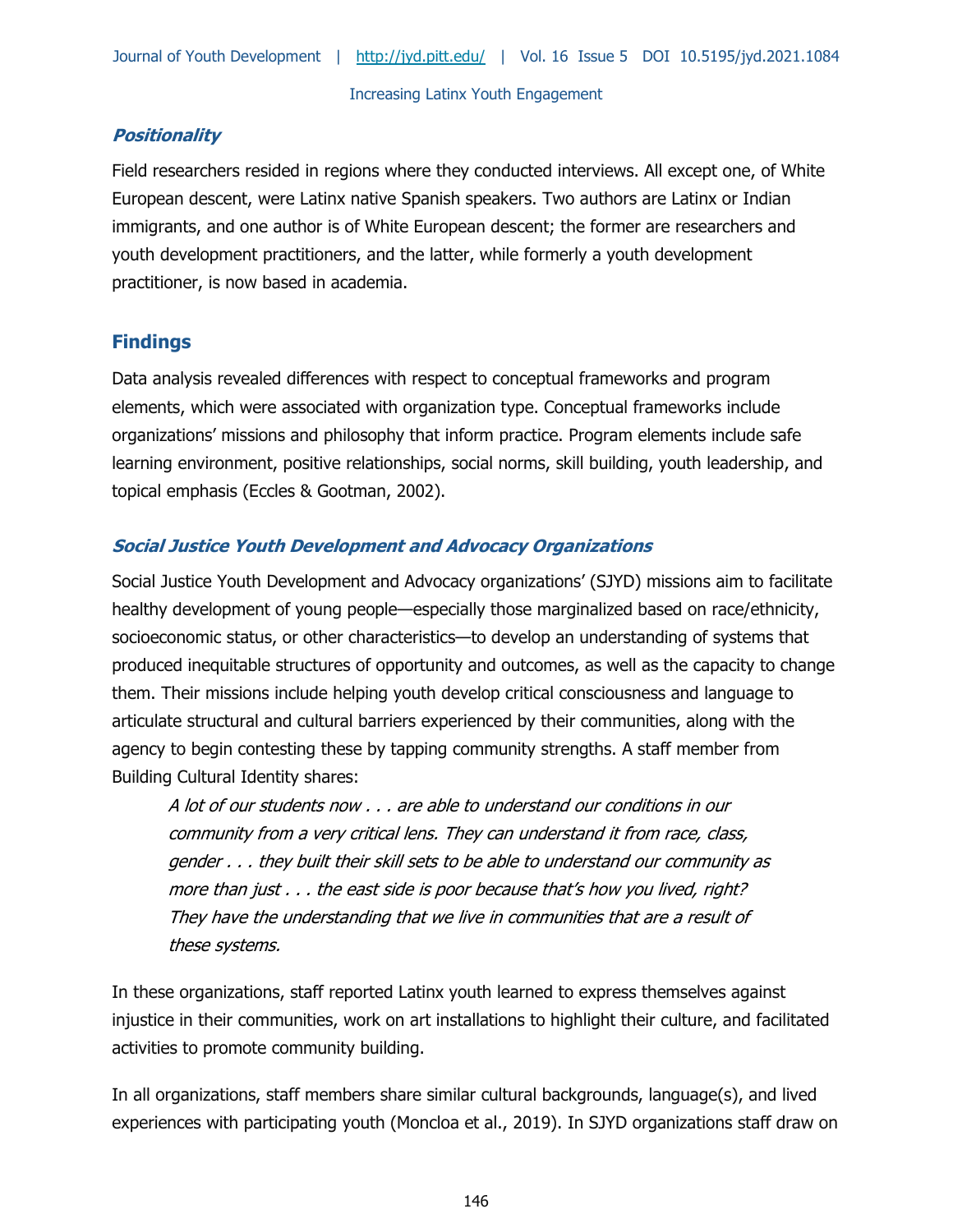# **Positionality**

Field researchers resided in regions where they conducted interviews. All except one, of White European descent, were Latinx native Spanish speakers. Two authors are Latinx or Indian immigrants, and one author is of White European descent; the former are researchers and youth development practitioners, and the latter, while formerly a youth development practitioner, is now based in academia.

# **Findings**

Data analysis revealed differences with respect to conceptual frameworks and program elements, which were associated with organization type. Conceptual frameworks include organizations' missions and philosophy that inform practice. Program elements include safe learning environment, positive relationships, social norms, skill building, youth leadership, and topical emphasis (Eccles & Gootman, 2002).

## **Social Justice Youth Development and Advocacy Organizations**

Social Justice Youth Development and Advocacy organizations' (SJYD) missions aim to facilitate healthy development of young people—especially those marginalized based on race/ethnicity, socioeconomic status, or other characteristics—to develop an understanding of systems that produced inequitable structures of opportunity and outcomes, as well as the capacity to change them. Their missions include helping youth develop critical consciousness and language to articulate structural and cultural barriers experienced by their communities, along with the agency to begin contesting these by tapping community strengths. A staff member from Building Cultural Identity shares:

A lot of our students now . . . are able to understand our conditions in our community from a very critical lens. They can understand it from race, class, gender . . . they built their skill sets to be able to understand our community as more than just . . . the east side is poor because that's how you lived, right? They have the understanding that we live in communities that are a result of these systems.

In these organizations, staff reported Latinx youth learned to express themselves against injustice in their communities, work on art installations to highlight their culture, and facilitated activities to promote community building.

In all organizations, staff members share similar cultural backgrounds, language(s), and lived experiences with participating youth (Moncloa et al., 2019). In SJYD organizations staff draw on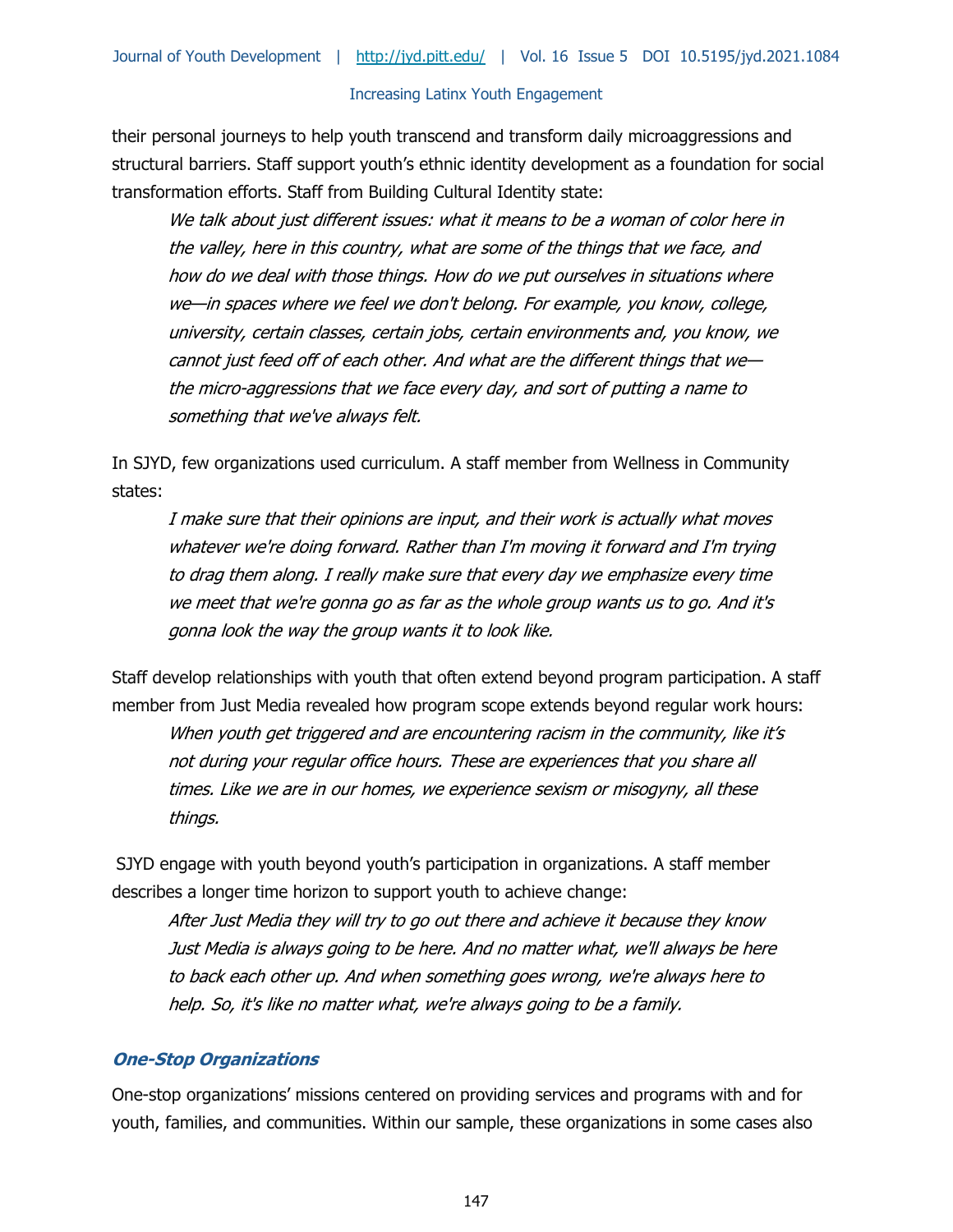their personal journeys to help youth transcend and transform daily microaggressions and structural barriers. Staff support youth's ethnic identity development as a foundation for social transformation efforts. Staff from Building Cultural Identity state:

We talk about just different issues: what it means to be a woman of color here in the valley, here in this country, what are some of the things that we face, and how do we deal with those things. How do we put ourselves in situations where we—in spaces where we feel we don't belong. For example, you know, college, university, certain classes, certain jobs, certain environments and, you know, we cannot just feed off of each other. And what are the different things that we the micro-aggressions that we face every day, and sort of putting a name to something that we've always felt.

In SJYD, few organizations used curriculum. A staff member from Wellness in Community states:

I make sure that their opinions are input, and their work is actually what moves whatever we're doing forward. Rather than I'm moving it forward and I'm trying to drag them along. I really make sure that every day we emphasize every time we meet that we're gonna go as far as the whole group wants us to go. And it's gonna look the way the group wants it to look like.

Staff develop relationships with youth that often extend beyond program participation. A staff member from Just Media revealed how program scope extends beyond regular work hours: When youth get triggered and are encountering racism in the community, like it's not during your regular office hours. These are experiences that you share all times. Like we are in our homes, we experience sexism or misogyny, all these things.

SJYD engage with youth beyond youth's participation in organizations. A staff member describes a longer time horizon to support youth to achieve change:

After Just Media they will try to go out there and achieve it because they know Just Media is always going to be here. And no matter what, we'll always be here to back each other up. And when something goes wrong, we're always here to help. So, it's like no matter what, we're always going to be a family.

#### **One-Stop Organizations**

One-stop organizations' missions centered on providing services and programs with and for youth, families, and communities. Within our sample, these organizations in some cases also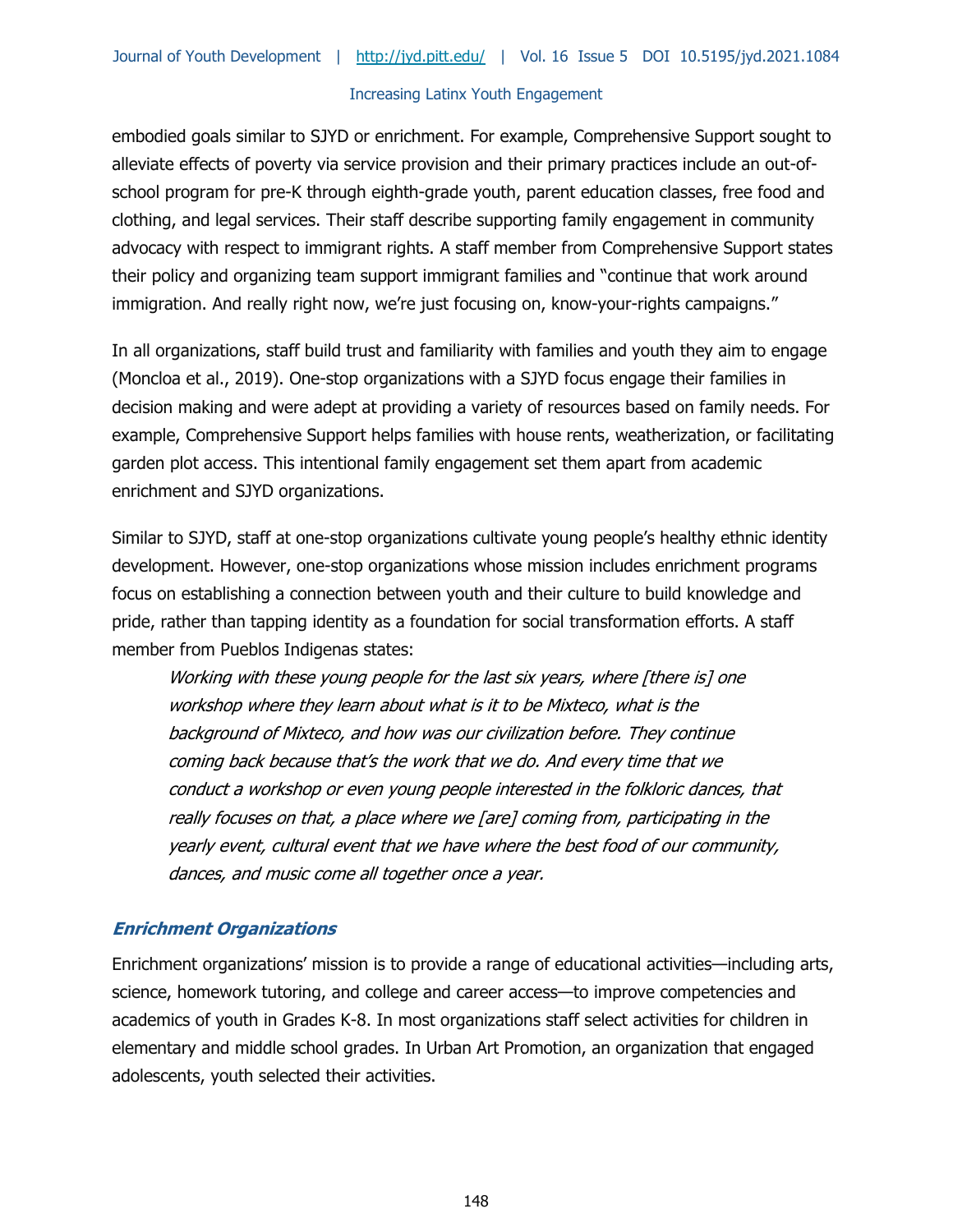embodied goals similar to SJYD or enrichment. For example, Comprehensive Support sought to alleviate effects of poverty via service provision and their primary practices include an out-ofschool program for pre-K through eighth-grade youth, parent education classes, free food and clothing, and legal services. Their staff describe supporting family engagement in community advocacy with respect to immigrant rights. A staff member from Comprehensive Support states their policy and organizing team support immigrant families and "continue that work around immigration. And really right now, we're just focusing on, know-your-rights campaigns."

In all organizations, staff build trust and familiarity with families and youth they aim to engage (Moncloa et al., 2019). One-stop organizations with a SJYD focus engage their families in decision making and were adept at providing a variety of resources based on family needs. For example, Comprehensive Support helps families with house rents, weatherization, or facilitating garden plot access. This intentional family engagement set them apart from academic enrichment and SJYD organizations.

Similar to SJYD, staff at one-stop organizations cultivate young people's healthy ethnic identity development. However, one-stop organizations whose mission includes enrichment programs focus on establishing a connection between youth and their culture to build knowledge and pride, rather than tapping identity as a foundation for social transformation efforts. A staff member from Pueblos Indigenas states:

Working with these young people for the last six years, where [there is] one workshop where they learn about what is it to be Mixteco, what is the background of Mixteco, and how was our civilization before. They continue coming back because that's the work that we do. And every time that we conduct a workshop or even young people interested in the folkloric dances, that really focuses on that, a place where we [are] coming from, participating in the yearly event, cultural event that we have where the best food of our community, dances, and music come all together once a year.

## **Enrichment Organizations**

Enrichment organizations' mission is to provide a range of educational activities—including arts, science, homework tutoring, and college and career access—to improve competencies and academics of youth in Grades K-8. In most organizations staff select activities for children in elementary and middle school grades. In Urban Art Promotion, an organization that engaged adolescents, youth selected their activities.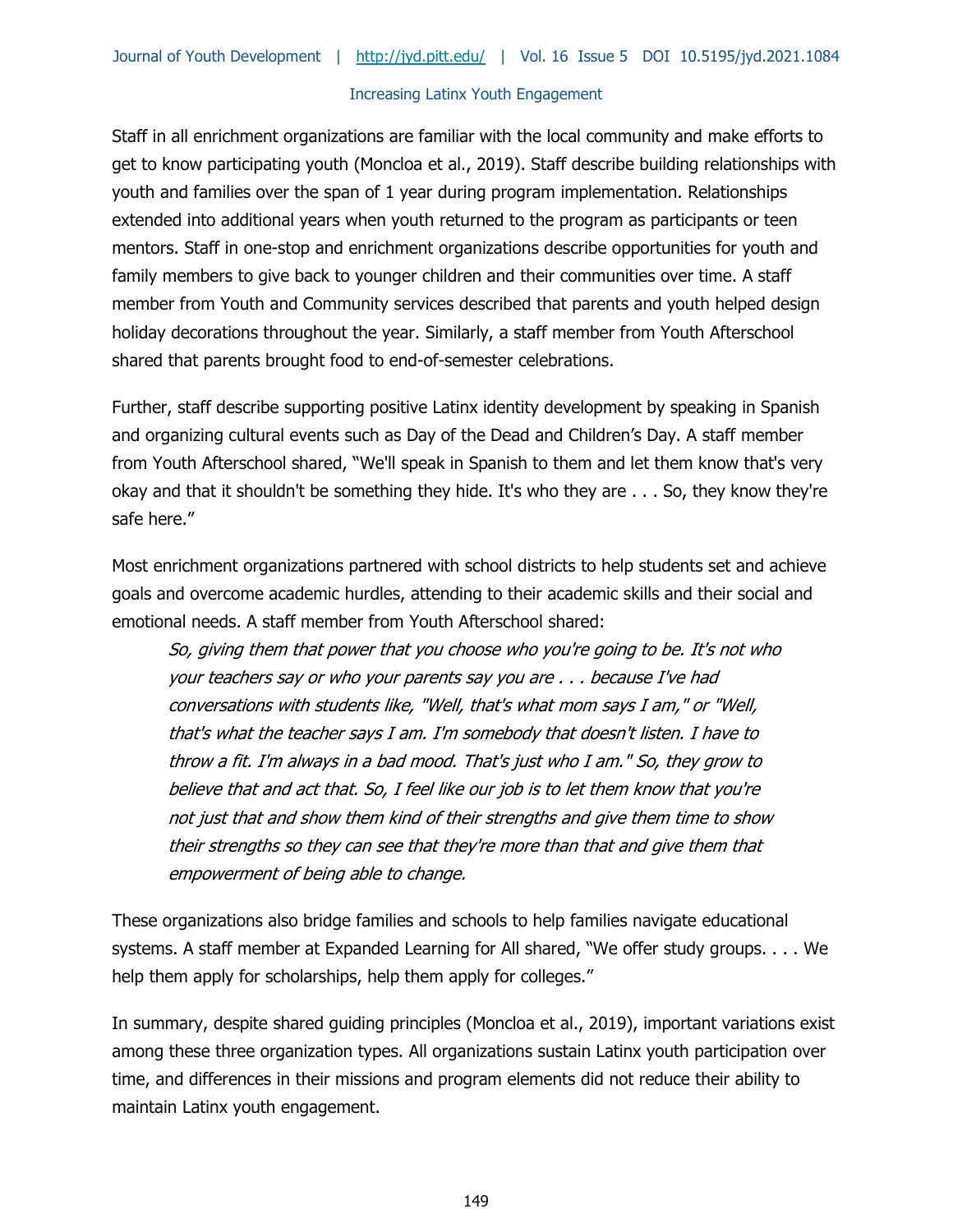Staff in all enrichment organizations are familiar with the local community and make efforts to get to know participating youth (Moncloa et al., 2019). Staff describe building relationships with youth and families over the span of 1 year during program implementation. Relationships extended into additional years when youth returned to the program as participants or teen mentors. Staff in one-stop and enrichment organizations describe opportunities for youth and family members to give back to younger children and their communities over time. A staff member from Youth and Community services described that parents and youth helped design holiday decorations throughout the year. Similarly, a staff member from Youth Afterschool shared that parents brought food to end-of-semester celebrations.

Further, staff describe supporting positive Latinx identity development by speaking in Spanish and organizing cultural events such as Day of the Dead and Children's Day. A staff member from Youth Afterschool shared, "We'll speak in Spanish to them and let them know that's very okay and that it shouldn't be something they hide. It's who they are . . . So, they know they're safe here."

Most enrichment organizations partnered with school districts to help students set and achieve goals and overcome academic hurdles, attending to their academic skills and their social and emotional needs. A staff member from Youth Afterschool shared:

So, giving them that power that you choose who you're going to be. It's not who your teachers say or who your parents say you are . . . because I've had conversations with students like, "Well, that's what mom says I am," or "Well, that's what the teacher says I am. I'm somebody that doesn't listen. I have to throw a fit. I'm always in a bad mood. That's just who I am." So, they grow to believe that and act that. So, I feel like our job is to let them know that you're not just that and show them kind of their strengths and give them time to show their strengths so they can see that they're more than that and give them that empowerment of being able to change.

These organizations also bridge families and schools to help families navigate educational systems. A staff member at Expanded Learning for All shared, "We offer study groups. . . . We help them apply for scholarships, help them apply for colleges."

In summary, despite shared guiding principles (Moncloa et al., 2019), important variations exist among these three organization types. All organizations sustain Latinx youth participation over time, and differences in their missions and program elements did not reduce their ability to maintain Latinx youth engagement.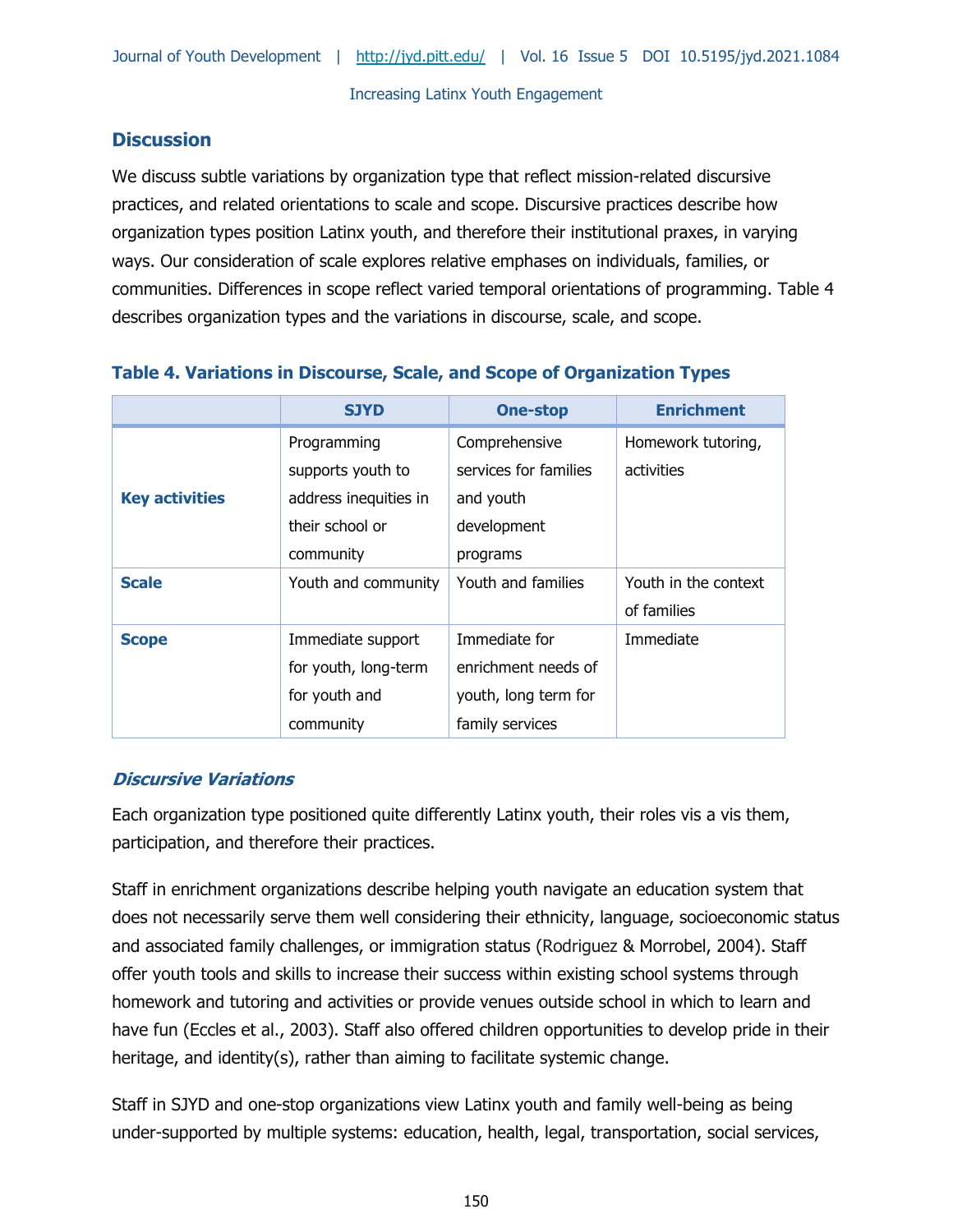# **Discussion**

We discuss subtle variations by organization type that reflect mission-related discursive practices, and related orientations to scale and scope. Discursive practices describe how organization types position Latinx youth, and therefore their institutional praxes, in varying ways. Our consideration of scale explores relative emphases on individuals, families, or communities. Differences in scope reflect varied temporal orientations of programming. Table 4 describes organization types and the variations in discourse, scale, and scope.

|                       | <b>SJYD</b>                                                                               | <b>One-stop</b>                                                                 | <b>Enrichment</b>                   |
|-----------------------|-------------------------------------------------------------------------------------------|---------------------------------------------------------------------------------|-------------------------------------|
| <b>Key activities</b> | Programming<br>supports youth to<br>address inequities in<br>their school or<br>community | Comprehensive<br>services for families<br>and youth<br>development<br>programs  | Homework tutoring,<br>activities    |
| <b>Scale</b>          | Youth and community                                                                       | Youth and families                                                              | Youth in the context<br>of families |
| <b>Scope</b>          | Immediate support<br>for youth, long-term<br>for youth and<br>community                   | Immediate for<br>enrichment needs of<br>youth, long term for<br>family services | Immediate                           |

# **Table 4. Variations in Discourse, Scale, and Scope of Organization Types**

# **Discursive Variations**

Each organization type positioned quite differently Latinx youth, their roles vis a vis them, participation, and therefore their practices.

Staff in enrichment organizations describe helping youth navigate an education system that does not necessarily serve them well considering their ethnicity, language, socioeconomic status and associated family challenges, or immigration status (Rodriguez & Morrobel, 2004). Staff offer youth tools and skills to increase their success within existing school systems through homework and tutoring and activities or provide venues outside school in which to learn and have fun (Eccles et al., 2003). Staff also offered children opportunities to develop pride in their heritage, and identity(s), rather than aiming to facilitate systemic change.

Staff in SJYD and one-stop organizations view Latinx youth and family well-being as being under-supported by multiple systems: education, health, legal, transportation, social services,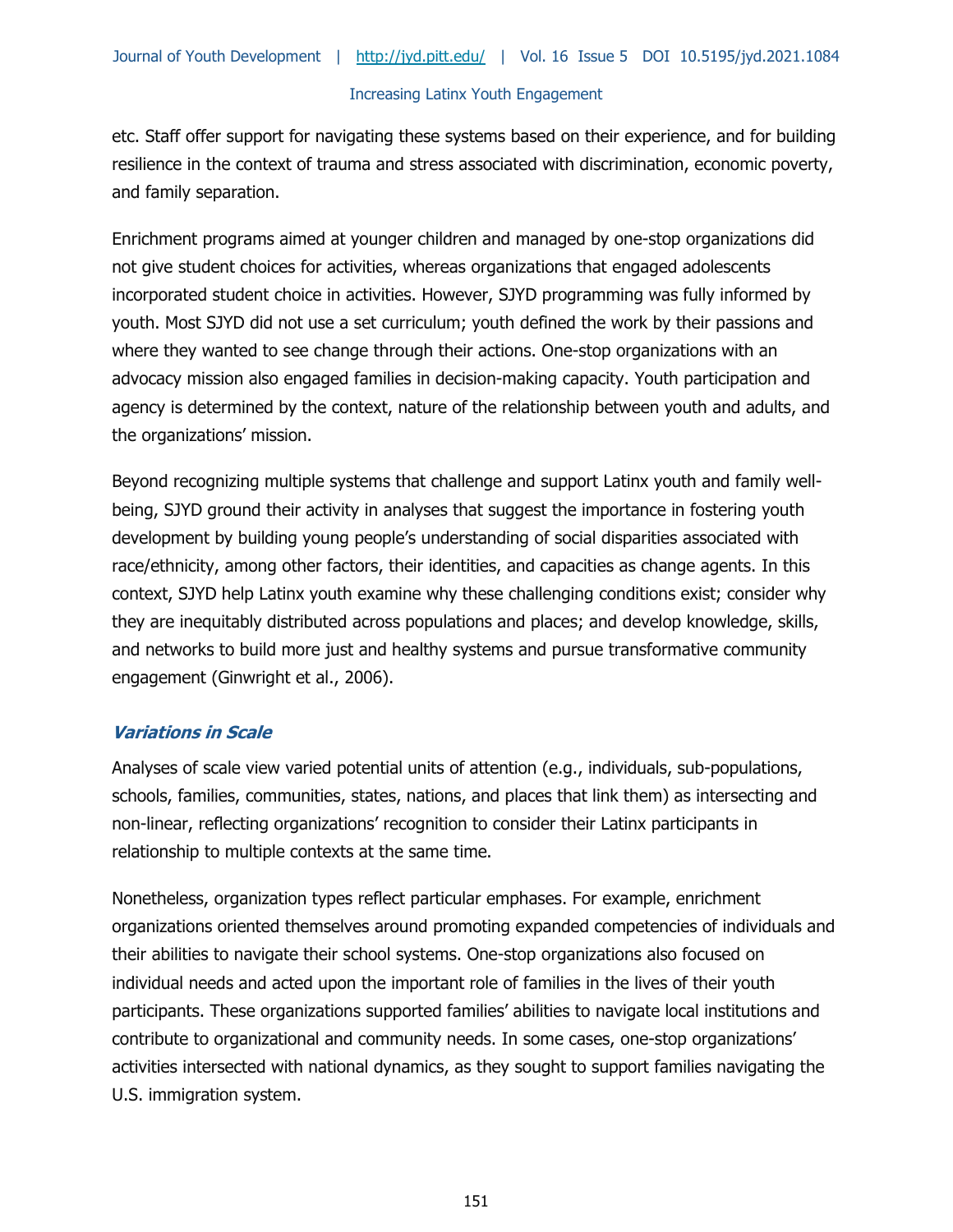etc. Staff offer support for navigating these systems based on their experience, and for building resilience in the context of trauma and stress associated with discrimination, economic poverty, and family separation.

Enrichment programs aimed at younger children and managed by one-stop organizations did not give student choices for activities, whereas organizations that engaged adolescents incorporated student choice in activities. However, SJYD programming was fully informed by youth. Most SJYD did not use a set curriculum; youth defined the work by their passions and where they wanted to see change through their actions. One-stop organizations with an advocacy mission also engaged families in decision-making capacity. Youth participation and agency is determined by the context, nature of the relationship between youth and adults, and the organizations' mission.

Beyond recognizing multiple systems that challenge and support Latinx youth and family wellbeing, SJYD ground their activity in analyses that suggest the importance in fostering youth development by building young people's understanding of social disparities associated with race/ethnicity, among other factors, their identities, and capacities as change agents. In this context, SJYD help Latinx youth examine why these challenging conditions exist; consider why they are inequitably distributed across populations and places; and develop knowledge, skills, and networks to build more just and healthy systems and pursue transformative community engagement (Ginwright et al., 2006).

## **Variations in Scale**

Analyses of scale view varied potential units of attention (e.g., individuals, sub-populations, schools, families, communities, states, nations, and places that link them) as intersecting and non-linear, reflecting organizations' recognition to consider their Latinx participants in relationship to multiple contexts at the same time.

Nonetheless, organization types reflect particular emphases. For example, enrichment organizations oriented themselves around promoting expanded competencies of individuals and their abilities to navigate their school systems. One-stop organizations also focused on individual needs and acted upon the important role of families in the lives of their youth participants. These organizations supported families' abilities to navigate local institutions and contribute to organizational and community needs. In some cases, one-stop organizations' activities intersected with national dynamics, as they sought to support families navigating the U.S. immigration system.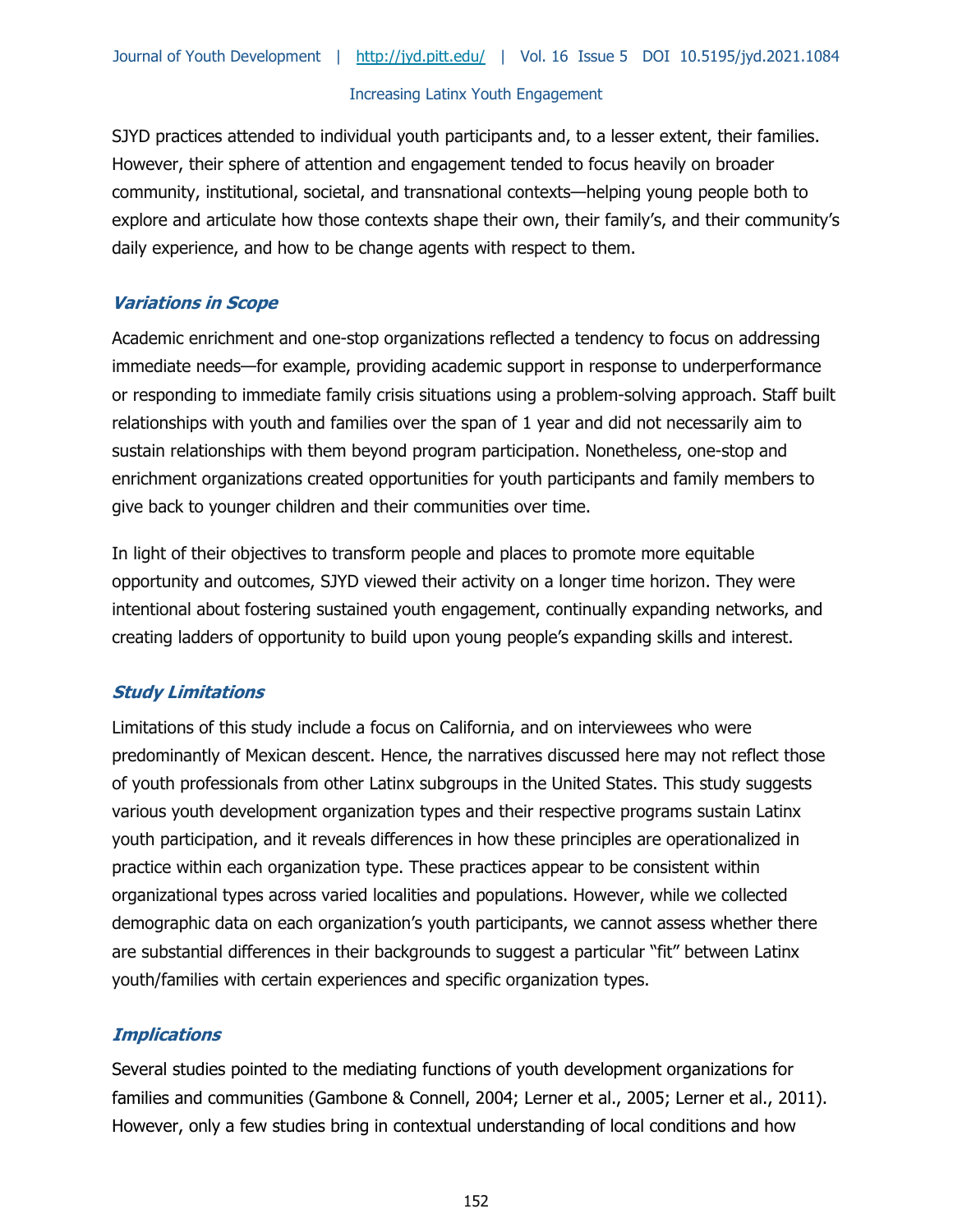SJYD practices attended to individual youth participants and, to a lesser extent, their families. However, their sphere of attention and engagement tended to focus heavily on broader community, institutional, societal, and transnational contexts—helping young people both to explore and articulate how those contexts shape their own, their family's, and their community's daily experience, and how to be change agents with respect to them.

## **Variations in Scope**

Academic enrichment and one-stop organizations reflected a tendency to focus on addressing immediate needs—for example, providing academic support in response to underperformance or responding to immediate family crisis situations using a problem-solving approach. Staff built relationships with youth and families over the span of 1 year and did not necessarily aim to sustain relationships with them beyond program participation. Nonetheless, one-stop and enrichment organizations created opportunities for youth participants and family members to give back to younger children and their communities over time.

In light of their objectives to transform people and places to promote more equitable opportunity and outcomes, SJYD viewed their activity on a longer time horizon. They were intentional about fostering sustained youth engagement, continually expanding networks, and creating ladders of opportunity to build upon young people's expanding skills and interest.

# **Study Limitations**

Limitations of this study include a focus on California, and on interviewees who were predominantly of Mexican descent. Hence, the narratives discussed here may not reflect those of youth professionals from other Latinx subgroups in the United States. This study suggests various youth development organization types and their respective programs sustain Latinx youth participation, and it reveals differences in how these principles are operationalized in practice within each organization type. These practices appear to be consistent within organizational types across varied localities and populations. However, while we collected demographic data on each organization's youth participants, we cannot assess whether there are substantial differences in their backgrounds to suggest a particular "fit" between Latinx youth/families with certain experiences and specific organization types.

# **Implications**

Several studies pointed to the mediating functions of youth development organizations for families and communities (Gambone & Connell, 2004; Lerner et al., 2005; Lerner et al., 2011). However, only a few studies bring in contextual understanding of local conditions and how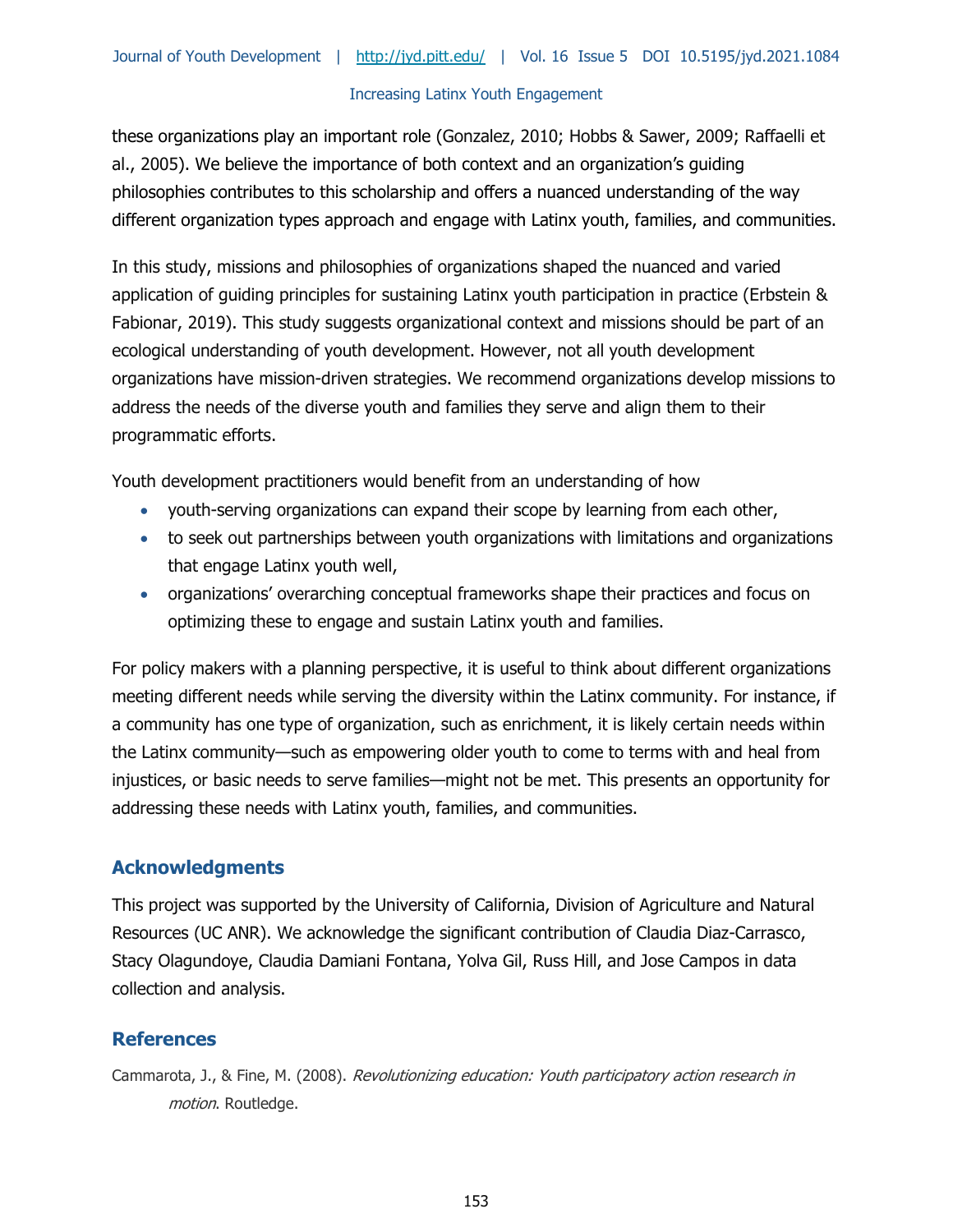these organizations play an important role (Gonzalez, 2010; Hobbs & Sawer, 2009; Raffaelli et al., 2005). We believe the importance of both context and an organization's guiding philosophies contributes to this scholarship and offers a nuanced understanding of the way different organization types approach and engage with Latinx youth, families, and communities.

In this study, missions and philosophies of organizations shaped the nuanced and varied application of guiding principles for sustaining Latinx youth participation in practice (Erbstein & Fabionar, 2019). This study suggests organizational context and missions should be part of an ecological understanding of youth development. However, not all youth development organizations have mission-driven strategies. We recommend organizations develop missions to address the needs of the diverse youth and families they serve and align them to their programmatic efforts.

Youth development practitioners would benefit from an understanding of how

- youth-serving organizations can expand their scope by learning from each other,
- to seek out partnerships between youth organizations with limitations and organizations that engage Latinx youth well,
- organizations' overarching conceptual frameworks shape their practices and focus on optimizing these to engage and sustain Latinx youth and families.

For policy makers with a planning perspective, it is useful to think about different organizations meeting different needs while serving the diversity within the Latinx community. For instance, if a community has one type of organization, such as enrichment, it is likely certain needs within the Latinx community—such as empowering older youth to come to terms with and heal from injustices, or basic needs to serve families—might not be met. This presents an opportunity for addressing these needs with Latinx youth, families, and communities.

# **Acknowledgments**

This project was supported by the University of California, Division of Agriculture and Natural Resources (UC ANR). We acknowledge the significant contribution of Claudia Diaz-Carrasco, Stacy Olagundoye, Claudia Damiani Fontana, Yolva Gil, Russ Hill, and Jose Campos in data collection and analysis.

## **References**

Cammarota, J., & Fine, M. (2008). Revolutionizing education: Youth participatory action research in motion. Routledge.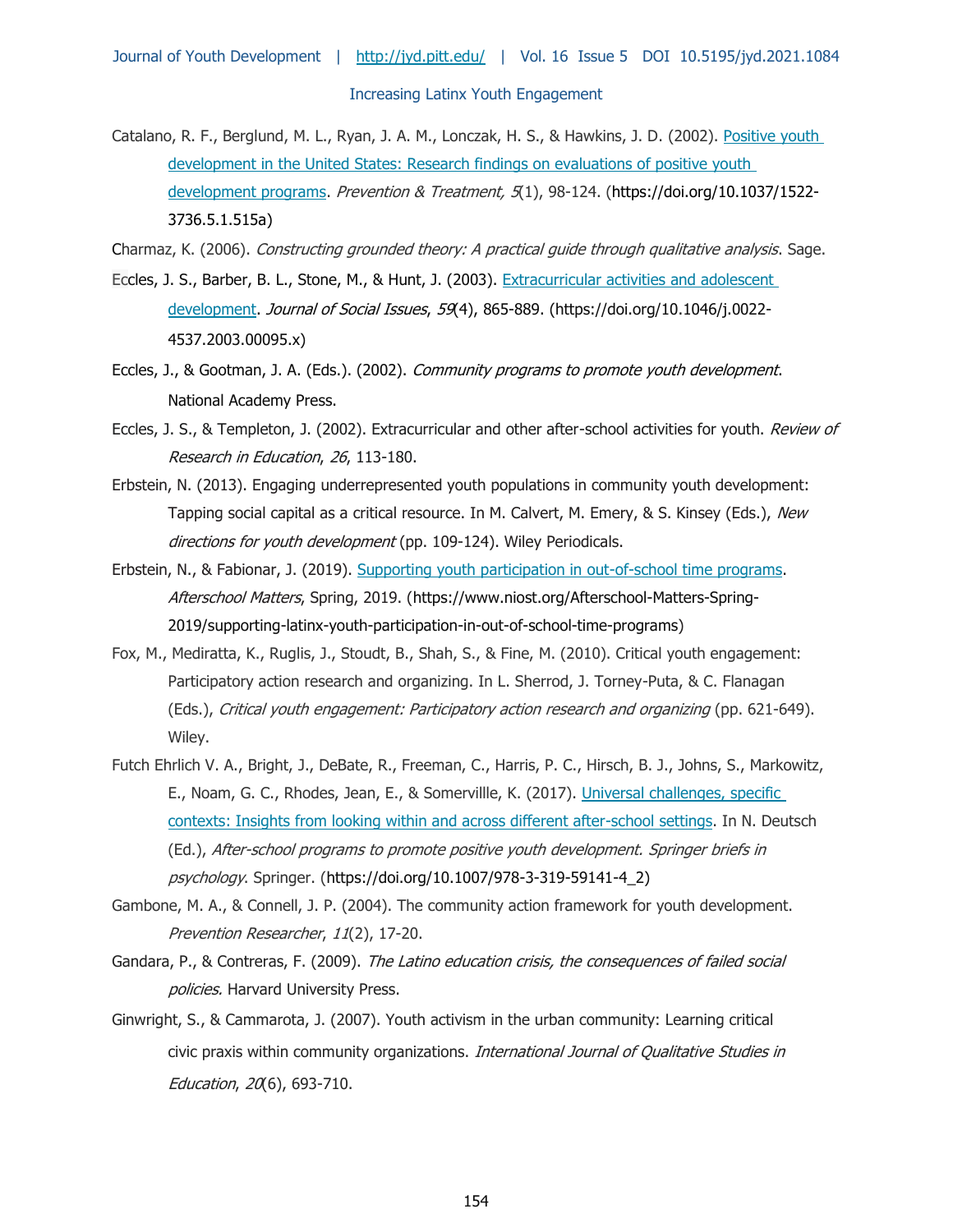Catalano, R. F., Berglund, M. L., Ryan, J. A. M., Lonczak, H. S., & Hawkins, J. D. (2002). [Positive youth](https://doi.org/10.1037/1522-3736.5.1.515a)  [development in the United States: Research findings on evaluations of positive youth](https://doi.org/10.1037/1522-3736.5.1.515a)  [development programs.](https://doi.org/10.1037/1522-3736.5.1.515a) Prevention & Treatment,  $5(1)$ , 98-124. (https://doi.org/10.1037/1522-3736.5.1.515a)

Charmaz, K. (2006). Constructing grounded theory: A practical guide through qualitative analysis. Sage.

- Eccles, J. S., Barber, B. L., Stone, M., & Hunt, J. (2003). [Extracurricular activities and adolescent](https://doi.org/10.1046/j.0022-4537.2003.00095.x)  [development.](https://doi.org/10.1046/j.0022-4537.2003.00095.x) Journal of Social Issues, 59(4), 865-889. (https://doi.org/10.1046/j.0022-4537.2003.00095.x)
- Eccles, J., & Gootman, J. A. (Eds.). (2002). Community programs to promote youth development. National Academy Press.
- Eccles, J. S., & Templeton, J. (2002). Extracurricular and other after-school activities for youth. Review of Research in Education, 26, 113-180.
- Erbstein, N. (2013). Engaging underrepresented youth populations in community youth development: Tapping social capital as a critical resource. In M. Calvert, M. Emery, & S. Kinsey (Eds.), New directions for youth development (pp. 109-124). Wiley Periodicals.
- Erbstein, N., & Fabionar, J. (2019). [Supporting youth participation in out-of-school time programs.](https://www.niost.org/Afterschool-Matters-Spring-2019/supporting-latinx-youth-participation-in-out-of-school-time-programs) Afterschool Matters, Spring, 2019. (https://www.niost.org/Afterschool-Matters-Spring-2019/supporting-latinx-youth-participation-in-out-of-school-time-programs)
- Fox, M., Mediratta, K., Ruglis, J., Stoudt, B., Shah, S., & Fine, M. (2010). Critical youth engagement: Participatory action research and organizing. In L. Sherrod, J. Torney-Puta, & C. Flanagan (Eds.), Critical youth engagement: Participatory action research and organizing (pp. 621-649). Wiley.
- Futch Ehrlich V. A., Bright, J., DeBate, R., Freeman, C., Harris, P. C., Hirsch, B. J., Johns, S., Markowitz, E., Noam, G. C., Rhodes, Jean, E., & Somervillle, K. (2017). [Universal challenges, specific](https://doi.org/10.1007/978-3-319-59141-4_2)  [contexts: Insights from looking within and across different after-school settings.](https://doi.org/10.1007/978-3-319-59141-4_2) In N. Deutsch (Ed.), After-school programs to promote positive youth development. Springer briefs in psychology. Springer. (https://doi.org/10.1007/978-3-319-59141-4\_2)
- Gambone, M. A., & Connell, J. P. (2004). The community action framework for youth development. Prevention Researcher, 11(2), 17-20.
- Gandara, P., & Contreras, F. (2009). The Latino education crisis, the consequences of failed social policies. Harvard University Press.
- Ginwright, S., & Cammarota, J. (2007). Youth activism in the urban community: Learning critical civic praxis within community organizations. *International Journal of Qualitative Studies in* Education, 20(6), 693-710.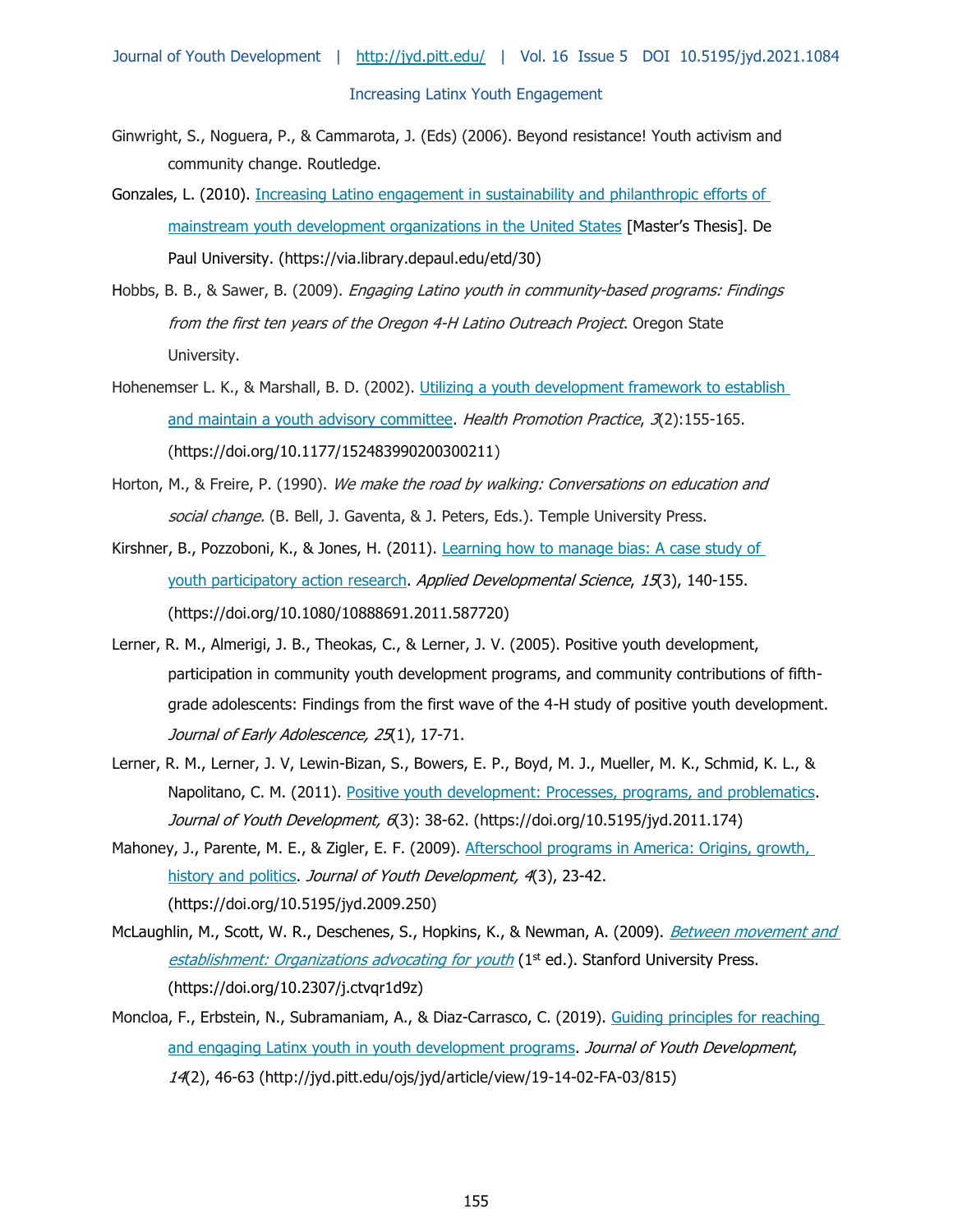- Ginwright, S., Noguera, P., & Cammarota, J. (Eds) (2006). Beyond resistance! Youth activism and community change. Routledge.
- Gonzales, L. (2010). [Increasing Latino engagement in sustainability and philanthropic efforts of](https://via.library.depaul.edu/etd/30)  [mainstream youth development organizations in the United States](https://via.library.depaul.edu/etd/30) [Master's Thesis]. De Paul University. (https://via.library.depaul.edu/etd/30)
- Hobbs, B. B., & Sawer, B. (2009). *Engaging Latino youth in community-based programs: Findings* from the first ten years of the Oregon 4-H Latino Outreach Project. Oregon State University.
- Hohenemser L. K., & Marshall, B. D. (2002). [Utilizing a youth development framework to establish](https://doi.org/10.1177/152483990200300211)  [and maintain a youth advisory committee.](https://doi.org/10.1177/152483990200300211) Health Promotion Practice, 3(2):155-165. (https://doi.org/10.1177/152483990200300211)
- Horton, M., & Freire, P. (1990). We make the road by walking: Conversations on education and social change. (B. Bell, J. Gaventa, & J. Peters, Eds.). Temple University Press.
- Kirshner, B., Pozzoboni, K., & Jones, H. (2011). [Learning how to manage bias: A case study of](https://doi.org/10.1080/10888691.2011.587720)  [youth participatory action research.](https://doi.org/10.1080/10888691.2011.587720) Applied Developmental Science, 15(3), 140-155. (https://doi.org/10.1080/10888691.2011.587720)
- Lerner, R. M., Almerigi, J. B., Theokas, C., & Lerner, J. V. (2005). Positive youth development, participation in community youth development programs, and community contributions of fifthgrade adolescents: Findings from the first wave of the 4-H study of positive youth development. Journal of Early Adolescence, 25(1), 17-71.
- Lerner, R. M., Lerner, J. V, Lewin-Bizan, S., Bowers, E. P., Boyd, M. J., Mueller, M. K., Schmid, K. L., & Napolitano, C. M. (2011). [Positive youth development: Processes, programs, and problematics.](https://doi.org/10.5195/jyd.2011.174) Journal of Youth Development, 6(3): 38-62. (https://doi.org/10.5195/jyd.2011.174)
- Mahoney, J., Parente, M. E., & Zigler, E. F. (2009). Afterschool programs in America: Origins, growth, [history and politics.](https://doi.org/10.5195/jyd.2009.250) Journal of Youth Development, 4(3), 23-42. (https://doi.org/10.5195/jyd.2009.250)
- McLaughlin, M., Scott, W. R., Deschenes, S., Hopkins, K., & Newman, A. (2009). *Between movement and* [establishment: Organizations advocating for youth](https://doi.org/10.2307/j.ctvqr1d9z)  $(1<sup>st</sup>$  ed.). Stanford University Press. (https://doi.org/10.2307/j.ctvqr1d9z)
- Moncloa, F., Erbstein, N., Subramaniam, A., & Diaz-Carrasco, C. (2019). Guiding principles for reaching [and engaging Latinx youth in youth development programs.](http://jyd.pitt.edu/ojs/jyd/article/view/19-14-02-FA-03/815) Journal of Youth Development, 14(2), 46-63 (http://jyd.pitt.edu/ojs/jyd/article/view/19-14-02-FA-03/815)